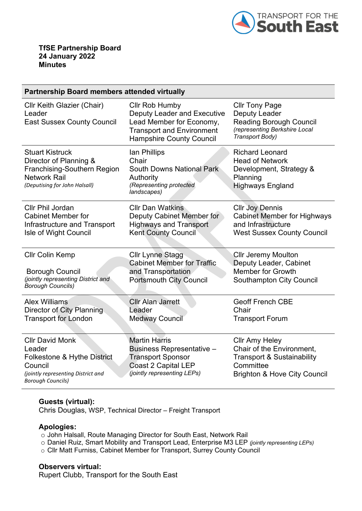

## **Partnership Board members attended virtually**

| <b>Cllr Keith Glazier (Chair)</b><br>Leader<br><b>East Sussex County Council</b>                                                             | Cllr Rob Humby<br><b>Deputy Leader and Executive</b><br>Lead Member for Economy,<br><b>Transport and Environment</b><br><b>Hampshire County Council</b> | <b>Cllr Tony Page</b><br><b>Deputy Leader</b><br><b>Reading Borough Council</b><br>(representing Berkshire Local<br>Transport Body)                 |
|----------------------------------------------------------------------------------------------------------------------------------------------|---------------------------------------------------------------------------------------------------------------------------------------------------------|-----------------------------------------------------------------------------------------------------------------------------------------------------|
| <b>Stuart Kistruck</b><br>Director of Planning &<br>Franchising-Southern Region<br><b>Network Rail</b><br>(Deputising for John Halsall)      | lan Phillips<br>Chair<br><b>South Downs National Park</b><br>Authority<br>(Representing protected<br>landscapes)                                        | <b>Richard Leonard</b><br><b>Head of Network</b><br>Development, Strategy &<br>Planning<br><b>Highways England</b>                                  |
| Cllr Phil Jordan                                                                                                                             | <b>Cllr Dan Watkins</b>                                                                                                                                 | <b>Cllr Joy Dennis</b>                                                                                                                              |
| <b>Cabinet Member for</b>                                                                                                                    | Deputy Cabinet Member for                                                                                                                               | <b>Cabinet Member for Highways</b>                                                                                                                  |
| Infrastructure and Transport                                                                                                                 | <b>Highways and Transport</b>                                                                                                                           | and Infrastructure                                                                                                                                  |
| Isle of Wight Council                                                                                                                        | <b>Kent County Council</b>                                                                                                                              | <b>West Sussex County Council</b>                                                                                                                   |
| <b>CIIr Colin Kemp</b>                                                                                                                       | <b>Cllr Lynne Stagg</b>                                                                                                                                 | <b>Cllr Jeremy Moulton</b>                                                                                                                          |
| <b>Borough Council</b>                                                                                                                       | <b>Cabinet Member for Traffic</b>                                                                                                                       | Deputy Leader, Cabinet                                                                                                                              |
| (jointly representing District and                                                                                                           | and Transportation                                                                                                                                      | <b>Member for Growth</b>                                                                                                                            |
| <b>Borough Councils)</b>                                                                                                                     | <b>Portsmouth City Council</b>                                                                                                                          | <b>Southampton City Council</b>                                                                                                                     |
| <b>Alex Williams</b>                                                                                                                         | <b>Cllr Alan Jarrett</b>                                                                                                                                | <b>Geoff French CBE</b>                                                                                                                             |
| Director of City Planning                                                                                                                    | Leader                                                                                                                                                  | Chair                                                                                                                                               |
| <b>Transport for London</b>                                                                                                                  | <b>Medway Council</b>                                                                                                                                   | <b>Transport Forum</b>                                                                                                                              |
| <b>CIIr David Monk</b><br>Leader<br>Folkestone & Hythe District<br>Council<br>(jointly representing District and<br><b>Borough Councils)</b> | <b>Martin Harris</b><br>Business Representative -<br><b>Transport Sponsor</b><br><b>Coast 2 Capital LEP</b><br>(jointly representing LEPs)              | <b>Cllr Amy Heley</b><br>Chair of the Environment,<br><b>Transport &amp; Sustainability</b><br>Committee<br><b>Brighton &amp; Hove City Council</b> |

## **Guests (virtual):**

Chris Douglas, WSP, Technical Director – Freight Transport

## **Apologies:**

- o John Halsall, Route Managing Director for South East, Network Rail
- o Daniel Ruiz, Smart Mobility and Transport Lead, Enterprise M3 LEP *(jointly representing LEPs)*
- o Cllr Matt Furniss, Cabinet Member for Transport, Surrey County Council

## **Observers virtual:**

Rupert Clubb, Transport for the South East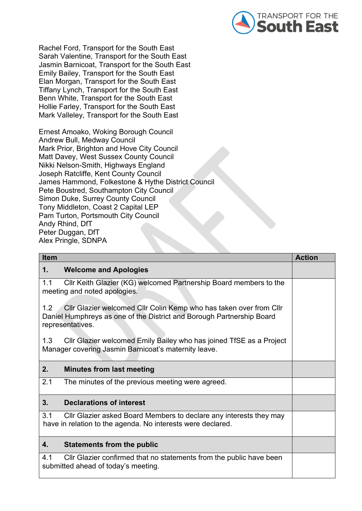

Rachel Ford, Transport for the South East Sarah Valentine, Transport for the South East Jasmin Barnicoat, Transport for the South East Emily Bailey, Transport for the South East Elan Morgan, Transport for the South East Tiffany Lynch, Transport for the South East Benn White, Transport for the South East Hollie Farley, Transport for the South East Mark Valleley, Transport for the South East

Ernest Amoako, Woking Borough Council Andrew Bull, Medway Council Mark Prior, Brighton and Hove City Council Matt Davey, West Sussex County Council Nikki Nelson-Smith, Highways England Joseph Ratcliffe, Kent County Council James Hammond, Folkestone & Hythe District Council Pete Boustred, Southampton City Council Simon Duke, Surrey County Council Tony Middleton, Coast 2 Capital LEP Pam Turton, Portsmouth City Council Andy Rhind, DfT Peter Duggan, DfT Alex Pringle, SDNPA

| <b>Item</b>                                                                                                                                                            | <b>Action</b> |
|------------------------------------------------------------------------------------------------------------------------------------------------------------------------|---------------|
| $\mathbf 1$ .<br><b>Welcome and Apologies</b>                                                                                                                          |               |
| Cllr Keith Glazier (KG) welcomed Partnership Board members to the<br>1.1<br>meeting and noted apologies.                                                               |               |
| 1.2<br>CIIr Glazier welcomed CIIr Colin Kemp who has taken over from CIIr<br>Daniel Humphreys as one of the District and Borough Partnership Board<br>representatives. |               |
| CIIr Glazier welcomed Emily Bailey who has joined TfSE as a Project<br>1.3<br>Manager covering Jasmin Barnicoat's maternity leave.                                     |               |
| 2.<br><b>Minutes from last meeting</b>                                                                                                                                 |               |
| 2.1<br>The minutes of the previous meeting were agreed.                                                                                                                |               |
| <b>Declarations of interest</b><br>3.                                                                                                                                  |               |
| 3.1<br>CIIr Glazier asked Board Members to declare any interests they may<br>have in relation to the agenda. No interests were declared.                               |               |
| 4.<br><b>Statements from the public</b>                                                                                                                                |               |
| 4.1<br>CIIr Glazier confirmed that no statements from the public have been<br>submitted ahead of today's meeting.                                                      |               |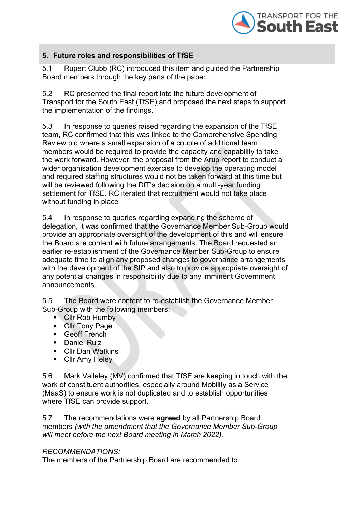

| 5. Future roles and responsibilities of TfSE                                                                                                                                                                                                                                                                                                                                                                                                                                                                                                                                                                                                                                                                             |  |
|--------------------------------------------------------------------------------------------------------------------------------------------------------------------------------------------------------------------------------------------------------------------------------------------------------------------------------------------------------------------------------------------------------------------------------------------------------------------------------------------------------------------------------------------------------------------------------------------------------------------------------------------------------------------------------------------------------------------------|--|
| 5.1<br>Rupert Clubb (RC) introduced this item and guided the Partnership<br>Board members through the key parts of the paper.                                                                                                                                                                                                                                                                                                                                                                                                                                                                                                                                                                                            |  |
| RC presented the final report into the future development of<br>5.2<br>Transport for the South East (TfSE) and proposed the next steps to support<br>the implementation of the findings.                                                                                                                                                                                                                                                                                                                                                                                                                                                                                                                                 |  |
| 5.3<br>In response to queries raised regarding the expansion of the TfSE<br>team, RC confirmed that this was linked to the Comprehensive Spending<br>Review bid where a small expansion of a couple of additional team<br>members would be required to provide the capacity and capability to take<br>the work forward. However, the proposal from the Arup report to conduct a<br>wider organisation development exercise to develop the operating model<br>and required staffing structures would not be taken forward at this time but<br>will be reviewed following the DfT's decision on a multi-year funding<br>settlement for TfSE. RC iterated that recruitment would not take place<br>without funding in place |  |
| In response to queries regarding expanding the scheme of<br>5.4<br>delegation, it was confirmed that the Governance Member Sub-Group would<br>provide an appropriate oversight of the development of this and will ensure<br>the Board are content with future arrangements. The Board requested an<br>earlier re-establishment of the Governance Member Sub-Group to ensure<br>adequate time to align any proposed changes to governance arrangements<br>with the development of the SIP and also to provide appropriate oversight of<br>any potential changes in responsibility due to any imminent Government<br>announcements.                                                                                       |  |
| 5.5<br>The Board were content to re-establish the Governance Member<br>Sub-Group with the following members:<br><b>Cllr Rob Humby</b><br>٠<br><b>CIIr Tony Page</b><br>■<br><b>Geoff French</b><br>٠<br><b>Daniel Ruiz</b><br>٠<br><b>Cllr Dan Watkins</b><br>п<br><b>Cllr Amy Heley</b><br>٠                                                                                                                                                                                                                                                                                                                                                                                                                            |  |
| 5.6<br>Mark Valleley (MV) confirmed that TfSE are keeping in touch with the<br>work of constituent authorities, especially around Mobility as a Service<br>(MaaS) to ensure work is not duplicated and to establish opportunities<br>where TfSE can provide support.                                                                                                                                                                                                                                                                                                                                                                                                                                                     |  |
| The recommendations were <b>agreed</b> by all Partnership Board<br>5.7<br>members (with the amendment that the Governance Member Sub-Group<br>will meet before the next Board meeting in March 2022).                                                                                                                                                                                                                                                                                                                                                                                                                                                                                                                    |  |
| <b>RECOMMENDATIONS:</b><br>The members of the Partnership Board are recommended to:                                                                                                                                                                                                                                                                                                                                                                                                                                                                                                                                                                                                                                      |  |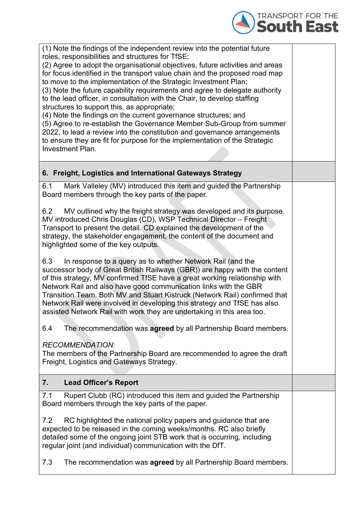

| (1) Note the findings of the independent review into the potential future<br>roles, responsibilities and structures for TfSE;<br>(2) Agree to adopt the organisational objectives, future activities and areas<br>for focus identified in the transport value chain and the proposed road map<br>to move to the implementation of the Strategic Investment Plan;<br>(3) Note the future capability requirements and agree to delegate authority<br>to the lead officer, in consultation with the Chair, to develop staffing<br>structures to support this, as appropriate;<br>(4) Note the findings on the current governance structures; and<br>(5) Agree to re-establish the Governance Member Sub-Group from summer<br>2022, to lead a review into the constitution and governance arrangements<br>to ensure they are fit for purpose for the implementation of the Strategic<br><b>Investment Plan.</b> |  |
|-------------------------------------------------------------------------------------------------------------------------------------------------------------------------------------------------------------------------------------------------------------------------------------------------------------------------------------------------------------------------------------------------------------------------------------------------------------------------------------------------------------------------------------------------------------------------------------------------------------------------------------------------------------------------------------------------------------------------------------------------------------------------------------------------------------------------------------------------------------------------------------------------------------|--|
| 6. Freight, Logistics and International Gateways Strategy                                                                                                                                                                                                                                                                                                                                                                                                                                                                                                                                                                                                                                                                                                                                                                                                                                                   |  |
| Mark Valleley (MV) introduced this item and guided the Partnership<br>6.1<br>Board members through the key parts of the paper.                                                                                                                                                                                                                                                                                                                                                                                                                                                                                                                                                                                                                                                                                                                                                                              |  |
| MV outlined why the freight strategy was developed and its purpose.<br>6.2<br>MV introduced Chris Douglas (CD), WSP Technical Director - Freight<br>Transport to present the detail. CD explained the development of the<br>strategy, the stakeholder engagement, the content of the document and<br>highlighted some of the key outputs.                                                                                                                                                                                                                                                                                                                                                                                                                                                                                                                                                                   |  |
| In response to a query as to whether Network Rail (and the<br>6.3<br>successor body of Great British Railways (GBR)) are happy with the content<br>of this strategy, MV confirmed TfSE have a great working relationship with<br>Network Rail and also have good communication links with the GBR<br>Transition Team. Both MV and Stuart Kistruck (Network Rail) confirmed that<br>Network Rail were involved in developing this strategy and TfSE has also<br>assisted Network Rail with work they are undertaking in this area too                                                                                                                                                                                                                                                                                                                                                                        |  |
| The recommendation was <b>agreed</b> by all Partnership Board members.<br>6.4                                                                                                                                                                                                                                                                                                                                                                                                                                                                                                                                                                                                                                                                                                                                                                                                                               |  |
| <b>RECOMMENDATION:</b><br>The members of the Partnership Board are recommended to agree the draft<br>Freight, Logistics and Gateways Strategy.                                                                                                                                                                                                                                                                                                                                                                                                                                                                                                                                                                                                                                                                                                                                                              |  |
| 7.<br><b>Lead Officer's Report</b>                                                                                                                                                                                                                                                                                                                                                                                                                                                                                                                                                                                                                                                                                                                                                                                                                                                                          |  |
| Rupert Clubb (RC) introduced this item and guided the Partnership<br>7.1<br>Board members through the key parts of the paper.                                                                                                                                                                                                                                                                                                                                                                                                                                                                                                                                                                                                                                                                                                                                                                               |  |
| 7.2<br>RC highlighted the national policy papers and guidance that are<br>expected to be released in the coming weeks/months. RC also briefly<br>detailed some of the ongoing joint STB work that is occurring, including<br>regular joint (and individual) communication with the DfT.                                                                                                                                                                                                                                                                                                                                                                                                                                                                                                                                                                                                                     |  |
| 7.3<br>The recommendation was <b>agreed</b> by all Partnership Board members.                                                                                                                                                                                                                                                                                                                                                                                                                                                                                                                                                                                                                                                                                                                                                                                                                               |  |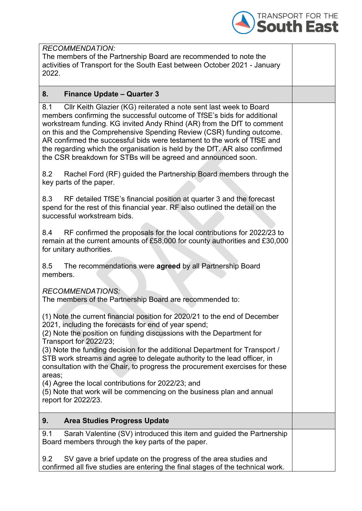

| <b>RECOMMENDATION:</b>                                                                                                                                                                                                                                                                                                                                                                                                                                                                                                          |  |
|---------------------------------------------------------------------------------------------------------------------------------------------------------------------------------------------------------------------------------------------------------------------------------------------------------------------------------------------------------------------------------------------------------------------------------------------------------------------------------------------------------------------------------|--|
| The members of the Partnership Board are recommended to note the                                                                                                                                                                                                                                                                                                                                                                                                                                                                |  |
| activities of Transport for the South East between October 2021 - January                                                                                                                                                                                                                                                                                                                                                                                                                                                       |  |
| 2022.                                                                                                                                                                                                                                                                                                                                                                                                                                                                                                                           |  |
|                                                                                                                                                                                                                                                                                                                                                                                                                                                                                                                                 |  |
| 8.<br><b>Finance Update - Quarter 3</b>                                                                                                                                                                                                                                                                                                                                                                                                                                                                                         |  |
| Cllr Keith Glazier (KG) reiterated a note sent last week to Board<br>8.1<br>members confirming the successful outcome of TfSE's bids for additional<br>workstream funding. KG invited Andy Rhind (AR) from the DfT to comment<br>on this and the Comprehensive Spending Review (CSR) funding outcome.<br>AR confirmed the successful bids were testament to the work of TfSE and<br>the regarding which the organisation is held by the DfT. AR also confirmed<br>the CSR breakdown for STBs will be agreed and announced soon. |  |
| 8.2<br>Rachel Ford (RF) guided the Partnership Board members through the<br>key parts of the paper.                                                                                                                                                                                                                                                                                                                                                                                                                             |  |
| 8.3<br>RF detailed TfSE's financial position at quarter 3 and the forecast<br>spend for the rest of this financial year. RF also outlined the detail on the<br>successful workstream bids.                                                                                                                                                                                                                                                                                                                                      |  |
| RF confirmed the proposals for the local contributions for 2022/23 to<br>8.4<br>remain at the current amounts of £58,000 for county authorities and £30,000<br>for unitary authorities.                                                                                                                                                                                                                                                                                                                                         |  |
| 8.5<br>The recommendations were agreed by all Partnership Board<br>members.                                                                                                                                                                                                                                                                                                                                                                                                                                                     |  |
| <b>RECOMMENDATIONS:</b><br>The members of the Partnership Board are recommended to:                                                                                                                                                                                                                                                                                                                                                                                                                                             |  |
| (1) Note the current financial position for 2020/21 to the end of December<br>2021, including the forecasts for end of year spend;<br>(2) Note the position on funding discussions with the Department for<br>Transport for 2022/23;<br>(3) Note the funding decision for the additional Department for Transport /<br>STB work streams and agree to delegate authority to the lead officer, in<br>consultation with the Chair, to progress the procurement exercises for these<br>areas;                                       |  |
| (4) Agree the local contributions for 2022/23; and<br>(5) Note that work will be commencing on the business plan and annual<br>report for 2022/23.                                                                                                                                                                                                                                                                                                                                                                              |  |
| 9.<br><b>Area Studies Progress Update</b>                                                                                                                                                                                                                                                                                                                                                                                                                                                                                       |  |
| Sarah Valentine (SV) introduced this item and guided the Partnership<br>9.1<br>Board members through the key parts of the paper.                                                                                                                                                                                                                                                                                                                                                                                                |  |
|                                                                                                                                                                                                                                                                                                                                                                                                                                                                                                                                 |  |
| 9.2<br>SV gave a brief update on the progress of the area studies and<br>confirmed all five studies are entering the final stages of the technical work.                                                                                                                                                                                                                                                                                                                                                                        |  |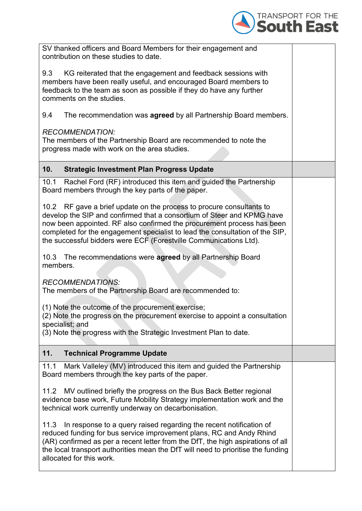

| SV thanked officers and Board Members for their engagement and<br>contribution on these studies to date.                                                                                                                                                                                                                                                                      |  |
|-------------------------------------------------------------------------------------------------------------------------------------------------------------------------------------------------------------------------------------------------------------------------------------------------------------------------------------------------------------------------------|--|
| 9.3<br>KG reiterated that the engagement and feedback sessions with<br>members have been really useful, and encouraged Board members to<br>feedback to the team as soon as possible if they do have any further<br>comments on the studies.                                                                                                                                   |  |
| The recommendation was <b>agreed</b> by all Partnership Board members.<br>9.4                                                                                                                                                                                                                                                                                                 |  |
| <b>RECOMMENDATION:</b><br>The members of the Partnership Board are recommended to note the<br>progress made with work on the area studies.                                                                                                                                                                                                                                    |  |
| 10.<br><b>Strategic Investment Plan Progress Update</b>                                                                                                                                                                                                                                                                                                                       |  |
| Rachel Ford (RF) introduced this item and guided the Partnership<br>10.1<br>Board members through the key parts of the paper.                                                                                                                                                                                                                                                 |  |
| 10.2 RF gave a brief update on the process to procure consultants to<br>develop the SIP and confirmed that a consortium of Steer and KPMG have<br>now been appointed. RF also confirmed the procurement process has been<br>completed for the engagement specialist to lead the consultation of the SIP,<br>the successful bidders were ECF (Forestville Communications Ltd). |  |
| 10.3 The recommendations were agreed by all Partnership Board<br>members.                                                                                                                                                                                                                                                                                                     |  |
| <b>RECOMMENDATIONS:</b><br>The members of the Partnership Board are recommended to:                                                                                                                                                                                                                                                                                           |  |
| (1) Note the outcome of the procurement exercise;<br>(2) Note the progress on the procurement exercise to appoint a consultation<br>specialist; and<br>(3) Note the progress with the Strategic Investment Plan to date.                                                                                                                                                      |  |
| 11.<br><b>Technical Programme Update</b>                                                                                                                                                                                                                                                                                                                                      |  |
| Mark Valleley (MV) introduced this item and guided the Partnership<br>11.1<br>Board members through the key parts of the paper.                                                                                                                                                                                                                                               |  |
| 11.2 MV outlined briefly the progress on the Bus Back Better regional<br>evidence base work, Future Mobility Strategy implementation work and the<br>technical work currently underway on decarbonisation.                                                                                                                                                                    |  |
| 11.3 In response to a query raised regarding the recent notification of<br>reduced funding for bus service improvement plans, RC and Andy Rhind<br>(AR) confirmed as per a recent letter from the DfT, the high aspirations of all<br>the local transport authorities mean the DfT will need to prioritise the funding<br>allocated for this work.                            |  |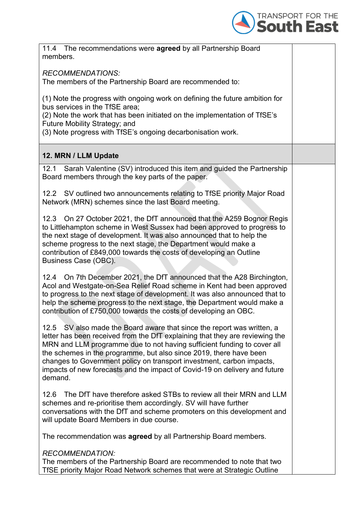

| 11.4 The recommendations were agreed by all Partnership Board<br>members.                                                                                                                                                                                                                                                                                                                                                                                                 |
|---------------------------------------------------------------------------------------------------------------------------------------------------------------------------------------------------------------------------------------------------------------------------------------------------------------------------------------------------------------------------------------------------------------------------------------------------------------------------|
| <b>RECOMMENDATIONS:</b><br>The members of the Partnership Board are recommended to:                                                                                                                                                                                                                                                                                                                                                                                       |
| (1) Note the progress with ongoing work on defining the future ambition for<br>bus services in the TfSE area;<br>(2) Note the work that has been initiated on the implementation of TfSE's<br>Future Mobility Strategy; and<br>(3) Note progress with TfSE's ongoing decarbonisation work.                                                                                                                                                                                |
| 12. MRN / LLM Update                                                                                                                                                                                                                                                                                                                                                                                                                                                      |
| Sarah Valentine (SV) introduced this item and guided the Partnership<br>12.1<br>Board members through the key parts of the paper.                                                                                                                                                                                                                                                                                                                                         |
| 12.2 SV outlined two announcements relating to TfSE priority Major Road<br>Network (MRN) schemes since the last Board meeting.                                                                                                                                                                                                                                                                                                                                            |
| 12.3 On 27 October 2021, the DfT announced that the A259 Bognor Regis<br>to Littlehampton scheme in West Sussex had been approved to progress to<br>the next stage of development. It was also announced that to help the<br>scheme progress to the next stage, the Department would make a<br>contribution of £849,000 towards the costs of developing an Outline<br>Business Case (OBC).                                                                                |
| 12.4 On 7th December 2021, the DfT announced that the A28 Birchington,<br>Acol and Westgate-on-Sea Relief Road scheme in Kent had been approved<br>to progress to the next stage of development. It was also announced that to<br>help the scheme progress to the next stage, the Department would make a<br>contribution of £750,000 towards the costs of developing an OBC.                                                                                             |
| 12.5 SV also made the Board aware that since the report was written, a<br>letter has been received from the DfT explaining that they are reviewing the<br>MRN and LLM programme due to not having sufficient funding to cover all<br>the schemes in the programme, but also since 2019, there have been<br>changes to Government policy on transport investment, carbon impacts,<br>impacts of new forecasts and the impact of Covid-19 on delivery and future<br>demand. |
| The DfT have therefore asked STBs to review all their MRN and LLM<br>12.6<br>schemes and re-prioritise them accordingly. SV will have further<br>conversations with the DfT and scheme promoters on this development and<br>will update Board Members in due course.                                                                                                                                                                                                      |
| The recommendation was <b>agreed</b> by all Partnership Board members.                                                                                                                                                                                                                                                                                                                                                                                                    |
| <b>RECOMMENDATION:</b><br>The members of the Partnership Board are recommended to note that two<br>TfSE priority Major Road Network schemes that were at Strategic Outline                                                                                                                                                                                                                                                                                                |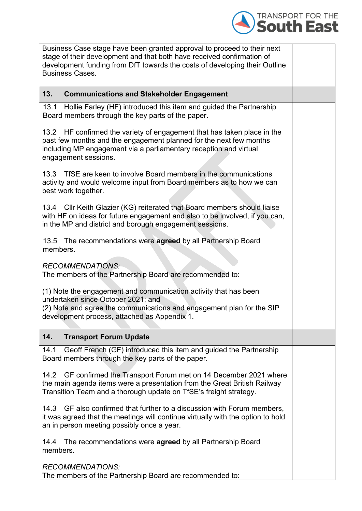

| Business Case stage have been granted approval to proceed to their next<br>stage of their development and that both have received confirmation of<br>development funding from DfT towards the costs of developing their Outline<br><b>Business Cases.</b> |  |
|-----------------------------------------------------------------------------------------------------------------------------------------------------------------------------------------------------------------------------------------------------------|--|
| 13.<br><b>Communications and Stakeholder Engagement</b>                                                                                                                                                                                                   |  |
| 13.1 Hollie Farley (HF) introduced this item and guided the Partnership<br>Board members through the key parts of the paper.                                                                                                                              |  |
| 13.2 HF confirmed the variety of engagement that has taken place in the<br>past few months and the engagement planned for the next few months<br>including MP engagement via a parliamentary reception and virtual<br>engagement sessions.                |  |
| 13.3 TfSE are keen to involve Board members in the communications<br>activity and would welcome input from Board members as to how we can<br>best work together.                                                                                          |  |
| 13.4 Cllr Keith Glazier (KG) reiterated that Board members should liaise<br>with HF on ideas for future engagement and also to be involved, if you can,<br>in the MP and district and borough engagement sessions.                                        |  |
| 13.5 The recommendations were agreed by all Partnership Board<br>members.                                                                                                                                                                                 |  |
| <b>RECOMMENDATIONS:</b><br>The members of the Partnership Board are recommended to:                                                                                                                                                                       |  |
| (1) Note the engagement and communication activity that has been<br>undertaken since October 2021; and<br>(2) Note and agree the communications and engagement plan for the SIP<br>development process, attached as Appendix 1.                           |  |
| 14.<br><b>Transport Forum Update</b>                                                                                                                                                                                                                      |  |
| Geoff French (GF) introduced this item and guided the Partnership<br>14.1<br>Board members through the key parts of the paper.                                                                                                                            |  |
| 14.2 GF confirmed the Transport Forum met on 14 December 2021 where<br>the main agenda items were a presentation from the Great British Railway<br>Transition Team and a thorough update on TfSE's freight strategy.                                      |  |
| GF also confirmed that further to a discussion with Forum members,<br>14.3<br>it was agreed that the meetings will continue virtually with the option to hold<br>an in person meeting possibly once a year.                                               |  |
| 14.4 The recommendations were <b>agreed</b> by all Partnership Board<br>members.                                                                                                                                                                          |  |
| <b>RECOMMENDATIONS:</b><br>The members of the Partnership Board are recommended to:                                                                                                                                                                       |  |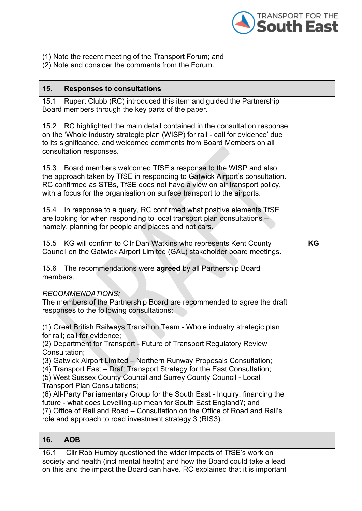

| (1) Note the recent meeting of the Transport Forum; and<br>(2) Note and consider the comments from the Forum.                                                                                                                                                                                                                                                                                                                                                                                                                                                                                                                                                                                             |    |
|-----------------------------------------------------------------------------------------------------------------------------------------------------------------------------------------------------------------------------------------------------------------------------------------------------------------------------------------------------------------------------------------------------------------------------------------------------------------------------------------------------------------------------------------------------------------------------------------------------------------------------------------------------------------------------------------------------------|----|
| 15.<br><b>Responses to consultations</b>                                                                                                                                                                                                                                                                                                                                                                                                                                                                                                                                                                                                                                                                  |    |
| Rupert Clubb (RC) introduced this item and guided the Partnership<br>15.1<br>Board members through the key parts of the paper.                                                                                                                                                                                                                                                                                                                                                                                                                                                                                                                                                                            |    |
| 15.2 RC highlighted the main detail contained in the consultation response<br>on the 'Whole industry strategic plan (WISP) for rail - call for evidence' due<br>to its significance, and welcomed comments from Board Members on all<br>consultation responses.                                                                                                                                                                                                                                                                                                                                                                                                                                           |    |
| 15.3 Board members welcomed TfSE's response to the WISP and also<br>the approach taken by TfSE in responding to Gatwick Airport's consultation.<br>RC confirmed as STBs, TfSE does not have a view on air transport policy,<br>with a focus for the organisation on surface transport to the airports.                                                                                                                                                                                                                                                                                                                                                                                                    |    |
| In response to a query, RC confirmed what positive elements TfSE<br>15.4<br>are looking for when responding to local transport plan consultations -<br>namely, planning for people and places and not cars.                                                                                                                                                                                                                                                                                                                                                                                                                                                                                               |    |
| 15.5 KG will confirm to Cllr Dan Watkins who represents Kent County<br>Council on the Gatwick Airport Limited (GAL) stakeholder board meetings.                                                                                                                                                                                                                                                                                                                                                                                                                                                                                                                                                           | KG |
| 15.6 The recommendations were agreed by all Partnership Board<br>members.                                                                                                                                                                                                                                                                                                                                                                                                                                                                                                                                                                                                                                 |    |
| <b>RECOMMENDATIONS:</b><br>The members of the Partnership Board are recommended to agree the draft<br>responses to the following consultations:                                                                                                                                                                                                                                                                                                                                                                                                                                                                                                                                                           |    |
| (1) Great British Railways Transition Team - Whole industry strategic plan<br>for rail; call for evidence;<br>(2) Department for Transport - Future of Transport Regulatory Review<br>Consultation;<br>(3) Gatwick Airport Limited - Northern Runway Proposals Consultation;<br>(4) Transport East - Draft Transport Strategy for the East Consultation;<br>(5) West Sussex County Council and Surrey County Council - Local<br><b>Transport Plan Consultations;</b><br>(6) All-Party Parliamentary Group for the South East - Inquiry: financing the<br>future - what does Levelling-up mean for South East England?; and<br>(7) Office of Rail and Road - Consultation on the Office of Road and Rail's |    |
| role and approach to road investment strategy 3 (RIS3).                                                                                                                                                                                                                                                                                                                                                                                                                                                                                                                                                                                                                                                   |    |
| 16.<br><b>AOB</b>                                                                                                                                                                                                                                                                                                                                                                                                                                                                                                                                                                                                                                                                                         |    |
| Cllr Rob Humby questioned the wider impacts of TfSE's work on<br>16.1<br>society and health (incl mental health) and how the Board could take a lead<br>on this and the impact the Board can have. RC explained that it is important                                                                                                                                                                                                                                                                                                                                                                                                                                                                      |    |